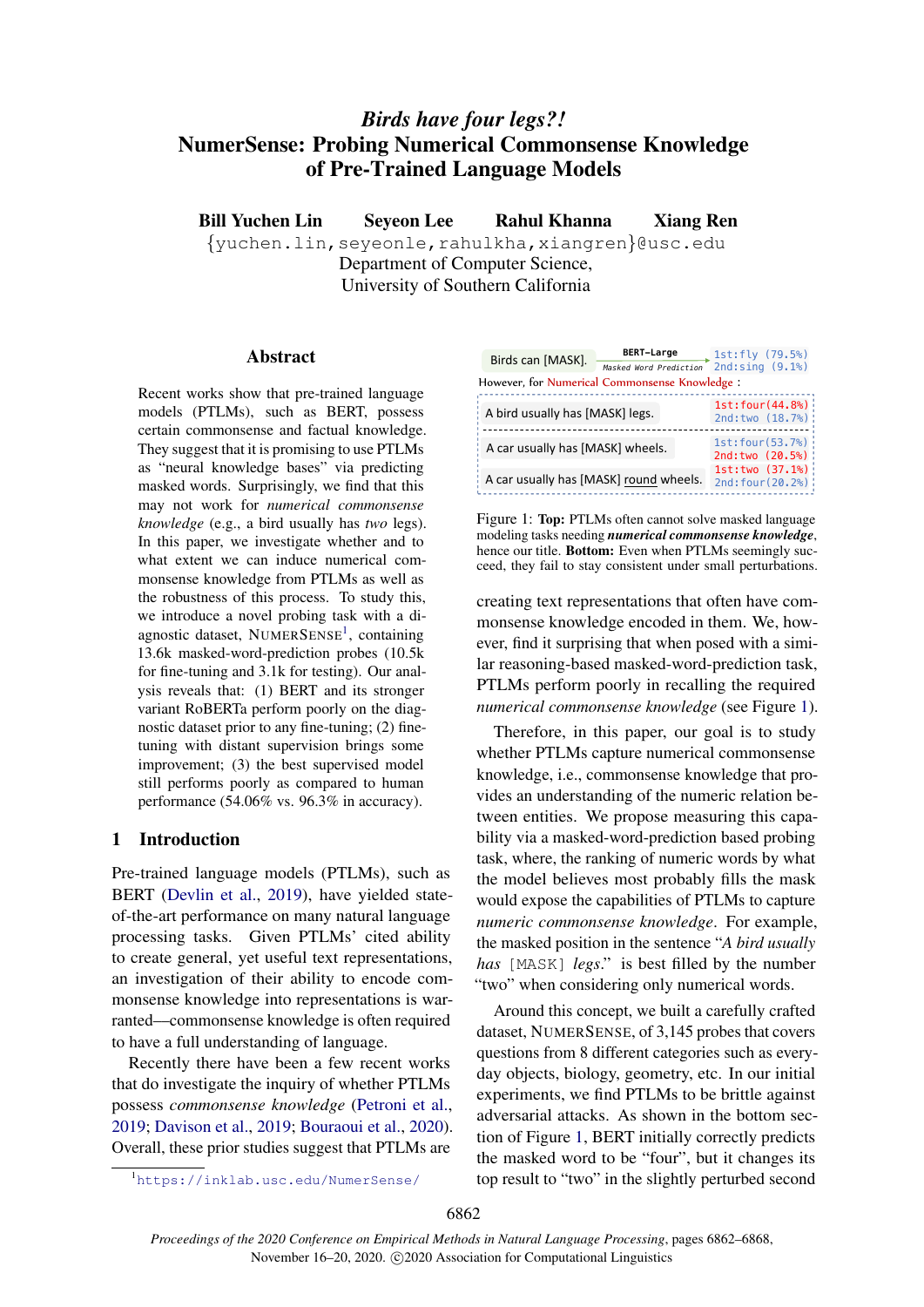# *Birds have four legs?!* NumerSense: Probing Numerical Commonsense Knowledge of Pre-Trained Language Models

Bill Yuchen Lin Seyeon Lee Rahul Khanna Xiang Ren

{yuchen.lin,seyeonle,rahulkha,xiangren}@usc.edu Department of Computer Science, University of Southern California

#### Abstract

Recent works show that pre-trained language models (PTLMs), such as BERT, possess certain commonsense and factual knowledge. They suggest that it is promising to use PTLMs as "neural knowledge bases" via predicting masked words. Surprisingly, we find that this may not work for *numerical commonsense knowledge* (e.g., a bird usually has *two* legs). In this paper, we investigate whether and to what extent we can induce numerical commonsense knowledge from PTLMs as well as the robustness of this process. To study this, we introduce a novel probing task with a di-agnostic dataset, NUMERSENSE<sup>[1](#page-0-0)</sup>, containing 13.6k masked-word-prediction probes (10.5k for fine-tuning and 3.1k for testing). Our analysis reveals that: (1) BERT and its stronger variant RoBERTa perform poorly on the diagnostic dataset prior to any fine-tuning; (2) finetuning with distant supervision brings some improvement; (3) the best supervised model still performs poorly as compared to human performance (54.06% vs. 96.3% in accuracy).

#### <span id="page-0-2"></span>1 Introduction

Pre-trained language models (PTLMs), such as BERT [\(Devlin et al.,](#page-5-0) [2019\)](#page-5-0), have yielded stateof-the-art performance on many natural language processing tasks. Given PTLMs' cited ability to create general, yet useful text representations, an investigation of their ability to encode commonsense knowledge into representations is warranted––commonsense knowledge is often required to have a full understanding of language.

Recently there have been a few recent works that do investigate the inquiry of whether PTLMs possess *commonsense knowledge* [\(Petroni et al.,](#page-6-0) [2019;](#page-6-0) [Davison et al.,](#page-5-1) [2019;](#page-5-1) [Bouraoui et al.,](#page-5-2) [2020\)](#page-5-2). Overall, these prior studies suggest that PTLMs are

<span id="page-0-1"></span>

| <b>BERT-Large</b>                      | 1st: fly (79.5%)                              |  |  |  |  |  |
|----------------------------------------|-----------------------------------------------|--|--|--|--|--|
| Masked Word Prediction                 | $2nd:$ sing $(9.1%)$                          |  |  |  |  |  |
|                                        |                                               |  |  |  |  |  |
|                                        | 1st: four (44.8%)                             |  |  |  |  |  |
| A bird usually has [MASK] legs.        |                                               |  |  |  |  |  |
| 1st:four(53.7%)                        |                                               |  |  |  |  |  |
| A car usually has [MASK] wheels.       |                                               |  |  |  |  |  |
|                                        | 2nd:two (20.5%)<br>1st: two (37.1%)           |  |  |  |  |  |
| A car usually has [MASK] round wheels. |                                               |  |  |  |  |  |
|                                        | However, for Numerical Commonsense Knowledge: |  |  |  |  |  |

Figure 1: Top: PTLMs often cannot solve masked language modeling tasks needing *numerical commonsense knowledge*, hence our title. Bottom: Even when PTLMs seemingly succeed, they fail to stay consistent under small perturbations.

creating text representations that often have commonsense knowledge encoded in them. We, however, find it surprising that when posed with a similar reasoning-based masked-word-prediction task, PTLMs perform poorly in recalling the required *numerical commonsense knowledge* (see Figure [1\)](#page-0-1).

Therefore, in this paper, our goal is to study whether PTLMs capture numerical commonsense knowledge, i.e., commonsense knowledge that provides an understanding of the numeric relation between entities. We propose measuring this capability via a masked-word-prediction based probing task, where, the ranking of numeric words by what the model believes most probably fills the mask would expose the capabilities of PTLMs to capture *numeric commonsense knowledge*. For example, the masked position in the sentence "*A bird usually has* [MASK] *legs*." is best filled by the number "two" when considering only numerical words.

Around this concept, we built a carefully crafted dataset, NUMERSENSE, of 3,145 probes that covers questions from 8 different categories such as everyday objects, biology, geometry, etc. In our initial experiments, we find PTLMs to be brittle against adversarial attacks. As shown in the bottom section of Figure [1,](#page-0-1) BERT initially correctly predicts the masked word to be "four", but it changes its top result to "two" in the slightly perturbed second

<span id="page-0-0"></span><sup>1</sup><https://inklab.usc.edu/NumerSense/>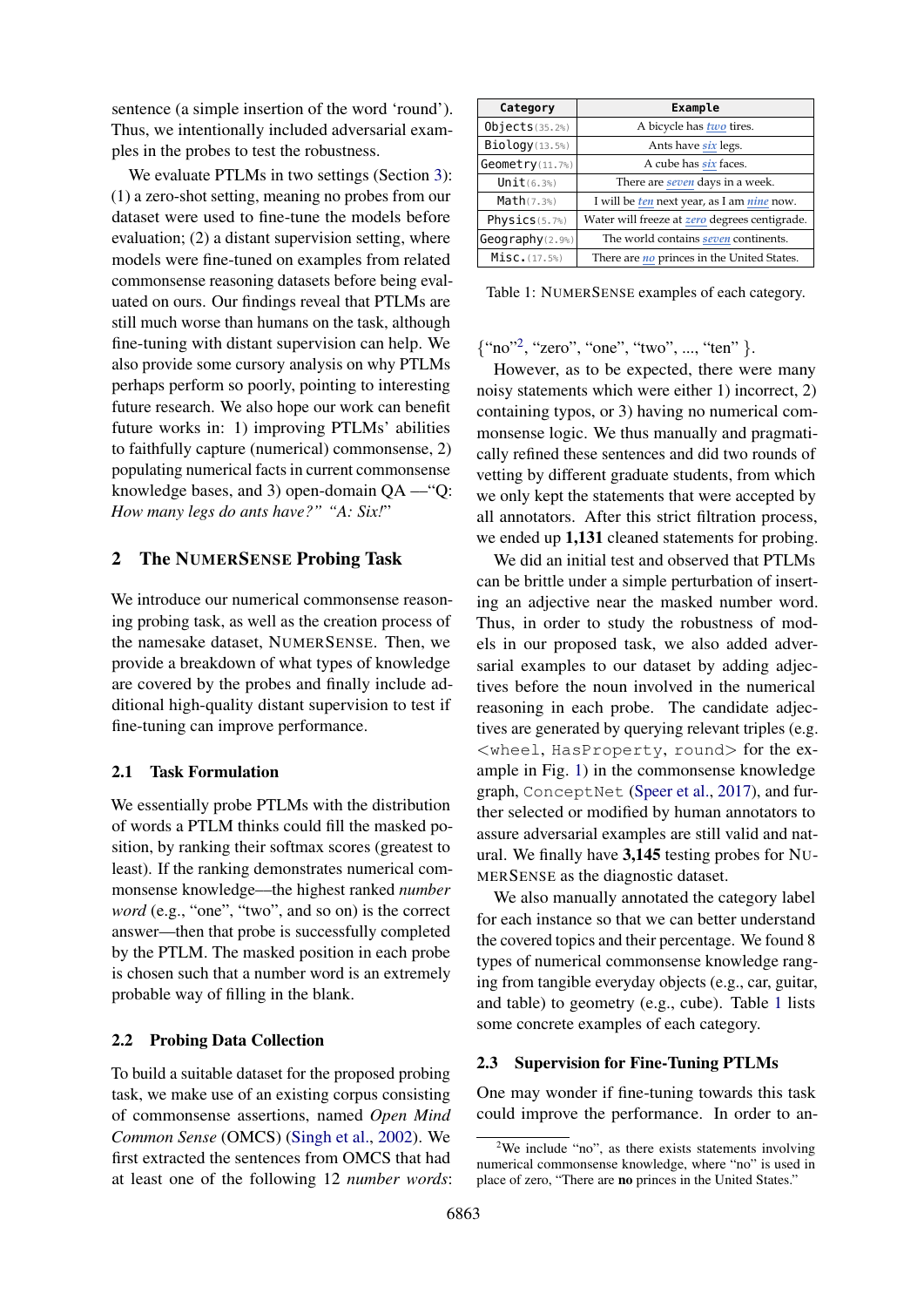sentence (a simple insertion of the word 'round'). Thus, we intentionally included adversarial examples in the probes to test the robustness.

We evaluate PTLMs in two settings (Section [3\)](#page-2-0): (1) a zero-shot setting, meaning no probes from our dataset were used to fine-tune the models before evaluation; (2) a distant supervision setting, where models were fine-tuned on examples from related commonsense reasoning datasets before being evaluated on ours. Our findings reveal that PTLMs are still much worse than humans on the task, although fine-tuning with distant supervision can help. We also provide some cursory analysis on why PTLMs perhaps perform so poorly, pointing to interesting future research. We also hope our work can benefit future works in: 1) improving PTLMs' abilities to faithfully capture (numerical) commonsense, 2) populating numerical facts in current commonsense knowledge bases, and 3) open-domain  $QA$ —" $Q$ : *How many legs do ants have?" "A: Six!*"

## 2 The NUMERSENSE Probing Task

We introduce our numerical commonsense reasoning probing task, as well as the creation process of the namesake dataset, NUMERSENSE. Then, we provide a breakdown of what types of knowledge are covered by the probes and finally include additional high-quality distant supervision to test if fine-tuning can improve performance.

### <span id="page-1-3"></span>2.1 Task Formulation

We essentially probe PTLMs with the distribution of words a PTLM thinks could fill the masked position, by ranking their softmax scores (greatest to least). If the ranking demonstrates numerical commonsense knowledge––the highest ranked *number word* (e.g., "one", "two", and so on) is the correct answer––then that probe is successfully completed by the PTLM. The masked position in each probe is chosen such that a number word is an extremely probable way of filling in the blank.

#### 2.2 Probing Data Collection

To build a suitable dataset for the proposed probing task, we make use of an existing corpus consisting of commonsense assertions, named *Open Mind Common Sense* (OMCS) [\(Singh et al.,](#page-6-1) [2002\)](#page-6-1). We first extracted the sentences from OMCS that had at least one of the following 12 *number words*:

<span id="page-1-1"></span>

| Category           | Example                                                  |  |  |
|--------------------|----------------------------------------------------------|--|--|
| $0$ bjects(35.2%)  | A bicycle has <b>two</b> tires.                          |  |  |
| Biology(13.5%)     | Ants have <i>six</i> legs.                               |  |  |
| Geometry $(11.7%)$ | A cube has <i>six</i> faces.                             |  |  |
| Unit(6.3%)         | There are <i>seven</i> days in a week.                   |  |  |
| Math(7.3%)         | I will be <i>ten</i> next year, as I am <i>nine</i> now. |  |  |
| Physics $(5.7%)$   | Water will freeze at zero degrees centigrade.            |  |  |
| Geography(2.9%)    | The world contains seven continents.                     |  |  |
| Misc. (17.5%)      | There are no princes in the United States.               |  |  |

Table 1: NUMERSENSE examples of each category.

{"no"[2](#page-1-0) , "zero", "one", "two", ..., "ten" }.

However, as to be expected, there were many noisy statements which were either 1) incorrect, 2) containing typos, or 3) having no numerical commonsense logic. We thus manually and pragmatically refined these sentences and did two rounds of vetting by different graduate students, from which we only kept the statements that were accepted by all annotators. After this strict filtration process, we ended up 1,131 cleaned statements for probing.

We did an initial test and observed that PTLMs can be brittle under a simple perturbation of inserting an adjective near the masked number word. Thus, in order to study the robustness of models in our proposed task, we also added adversarial examples to our dataset by adding adjectives before the noun involved in the numerical reasoning in each probe. The candidate adjectives are generated by querying relevant triples (e.g. <wheel, HasProperty, round> for the example in Fig. [1\)](#page-0-1) in the commonsense knowledge graph, ConceptNet [\(Speer et al.,](#page-6-2) [2017\)](#page-6-2), and further selected or modified by human annotators to assure adversarial examples are still valid and natural. We finally have 3,145 testing probes for NU-MERSENSE as the diagnostic dataset.

We also manually annotated the category label for each instance so that we can better understand the covered topics and their percentage. We found 8 types of numerical commonsense knowledge ranging from tangible everyday objects (e.g., car, guitar, and table) to geometry (e.g., cube). Table [1](#page-1-1) lists some concrete examples of each category.

#### <span id="page-1-2"></span>2.3 Supervision for Fine-Tuning PTLMs

One may wonder if fine-tuning towards this task could improve the performance. In order to an-

<span id="page-1-0"></span><sup>&</sup>lt;sup>2</sup>We include "no", as there exists statements involving numerical commonsense knowledge, where "no" is used in place of zero, "There are no princes in the United States."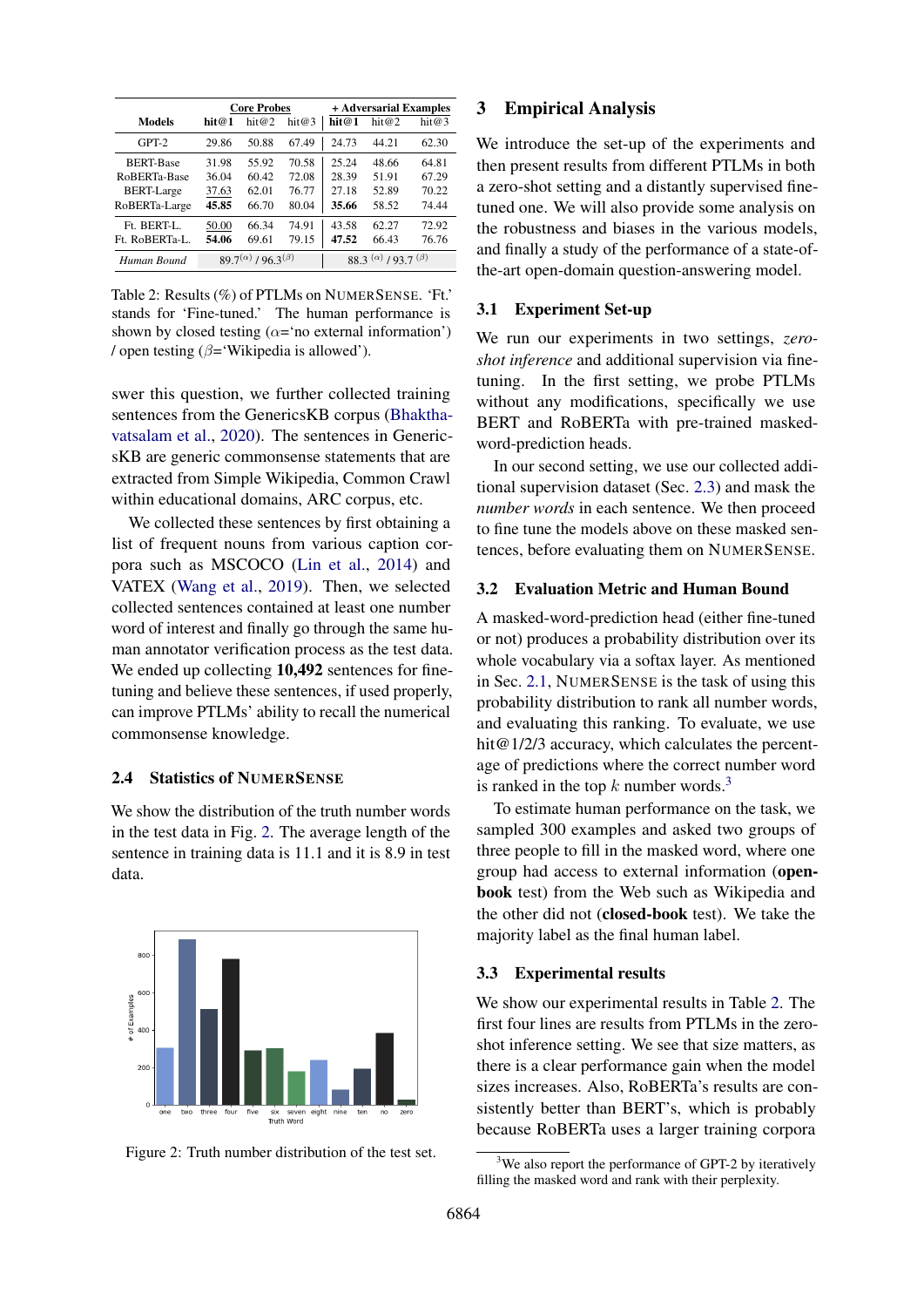<span id="page-2-3"></span>

|                   | <b>Core Probes</b>                 |       |       | + Adversarial Examples |                                      |          |
|-------------------|------------------------------------|-------|-------|------------------------|--------------------------------------|----------|
| <b>Models</b>     | hit@1                              | hit@2 | hit@3 | hit@1                  | hit@2                                | hit $@3$ |
| $GPT-2$           | 29.86                              | 50.88 | 67.49 | 24.73                  | 44.21                                | 62.30    |
| <b>BERT-Base</b>  | 31.98                              | 55.92 | 70.58 | 25.24                  | 48.66                                | 64.81    |
| RoBERTa-Base      | 36.04                              | 60.42 | 72.08 | 28.39                  | 51.91                                | 67.29    |
| <b>BERT-Large</b> | 37.63                              | 62.01 | 76.77 | 27.18                  | 52.89                                | 70.22    |
| RoBERTa-Large     | 45.85                              | 66.70 | 80.04 | 35.66                  | 58.52                                | 74.44    |
| Ft. BERT-L.       | 50.00                              | 66.34 | 74.91 | 43.58                  | 62.27                                | 72.92    |
| Ft. RoBERTa-L.    | 54.06                              | 69.61 | 79.15 | 47.52                  | 66.43                                | 76.76    |
| Human Bound       | 89 7( $\alpha$ ) / 96 3( $\beta$ ) |       |       |                        | 88 3 ( $\alpha$ ) / 93 7 ( $\beta$ ) |          |

Table 2: Results (%) of PTLMs on NUMERSENSE. 'Ft.' stands for 'Fine-tuned.' The human performance is shown by closed testing  $(\alpha = \text{`no external information'})$ / open testing  $(\beta =$ 'Wikipedia is allowed').

swer this question, we further collected training sentences from the GenericsKB corpus [\(Bhaktha](#page-5-3)[vatsalam et al.,](#page-5-3) [2020\)](#page-5-3). The sentences in GenericsKB are generic commonsense statements that are extracted from Simple Wikipedia, Common Crawl within educational domains, ARC corpus, etc.

We collected these sentences by first obtaining a list of frequent nouns from various caption corpora such as MSCOCO [\(Lin et al.,](#page-6-3) [2014\)](#page-6-3) and VATEX [\(Wang et al.,](#page-6-4) [2019\)](#page-6-4). Then, we selected collected sentences contained at least one number word of interest and finally go through the same human annotator verification process as the test data. We ended up collecting 10,492 sentences for finetuning and believe these sentences, if used properly, can improve PTLMs' ability to recall the numerical commonsense knowledge.

### 2.4 Statistics of NUMERSENSE

We show the distribution of the truth number words in the test data in Fig. [2.](#page-2-1) The average length of the sentence in training data is 11.1 and it is 8.9 in test data.

<span id="page-2-1"></span>

Figure 2: Truth number distribution of the test set.

#### <span id="page-2-0"></span>3 Empirical Analysis

We introduce the set-up of the experiments and then present results from different PTLMs in both a zero-shot setting and a distantly supervised finetuned one. We will also provide some analysis on the robustness and biases in the various models, and finally a study of the performance of a state-ofthe-art open-domain question-answering model.

#### 3.1 Experiment Set-up

We run our experiments in two settings, *zeroshot inference* and additional supervision via finetuning. In the first setting, we probe PTLMs without any modifications, specifically we use BERT and RoBERTa with pre-trained maskedword-prediction heads.

In our second setting, we use our collected additional supervision dataset (Sec. [2.3\)](#page-1-2) and mask the *number words* in each sentence. We then proceed to fine tune the models above on these masked sentences, before evaluating them on NUMERSENSE.

#### 3.2 Evaluation Metric and Human Bound

A masked-word-prediction head (either fine-tuned or not) produces a probability distribution over its whole vocabulary via a softax layer. As mentioned in Sec. [2.1,](#page-1-3) NUMERSENSE is the task of using this probability distribution to rank all number words, and evaluating this ranking. To evaluate, we use hit@1/2/3 accuracy, which calculates the percentage of predictions where the correct number word is ranked in the top k number words.<sup>[3](#page-2-2)</sup>

To estimate human performance on the task, we sampled 300 examples and asked two groups of three people to fill in the masked word, where one group had access to external information (openbook test) from the Web such as Wikipedia and the other did not (closed-book test). We take the majority label as the final human label.

#### 3.3 Experimental results

We show our experimental results in Table [2.](#page-2-3) The first four lines are results from PTLMs in the zeroshot inference setting. We see that size matters, as there is a clear performance gain when the model sizes increases. Also, RoBERTa's results are consistently better than BERT's, which is probably because RoBERTa uses a larger training corpora

<span id="page-2-2"></span><sup>&</sup>lt;sup>3</sup>We also report the performance of GPT-2 by iteratively filling the masked word and rank with their perplexity.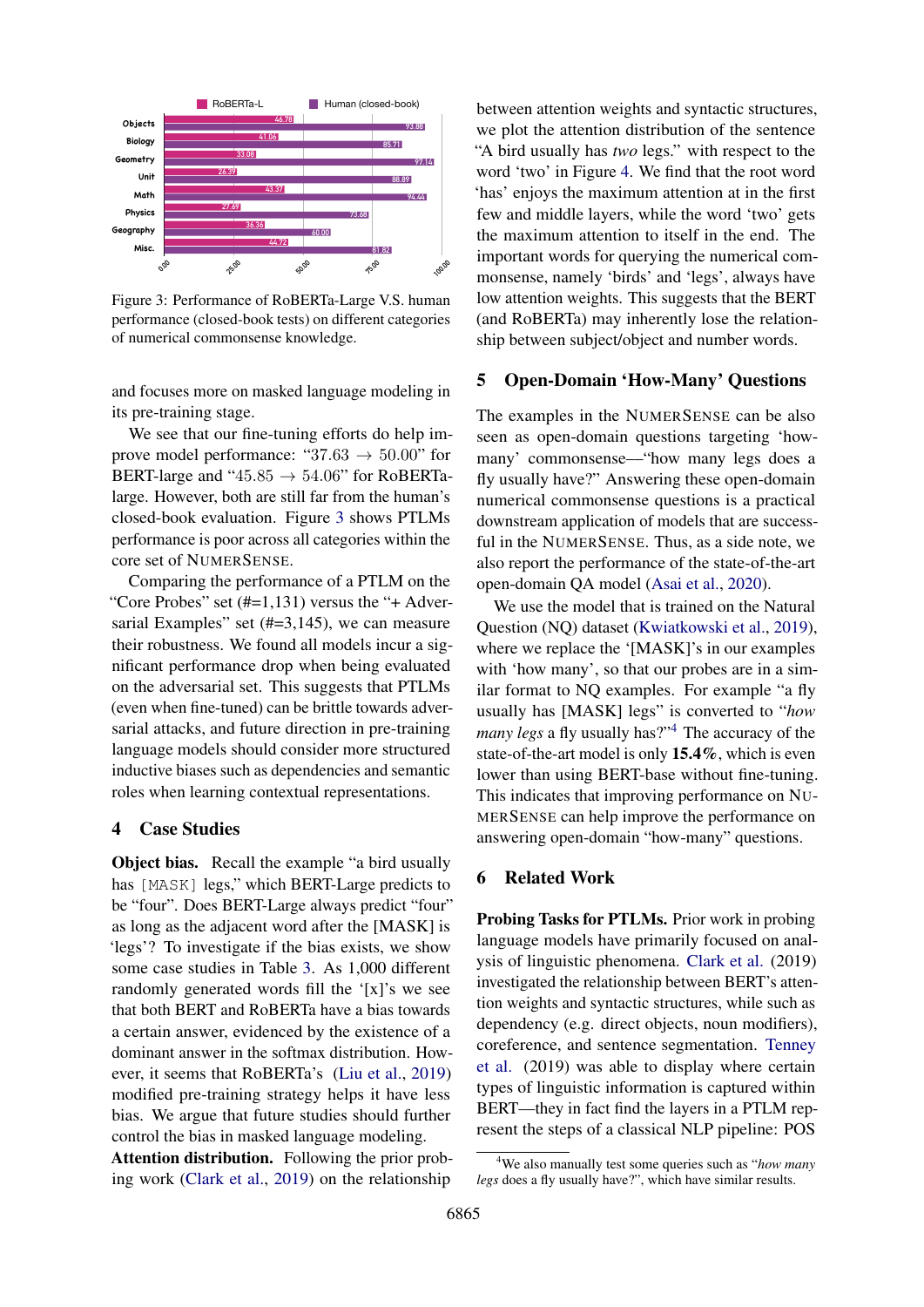<span id="page-3-0"></span>

Figure 3: Performance of RoBERTa-Large V.S. human performance (closed-book tests) on different categories of numerical commonsense knowledge.

and focuses more on masked language modeling in its pre-training stage.

We see that our fine-tuning efforts do help improve model performance: "37.63  $\rightarrow$  50.00" for BERT-large and "45.85  $\rightarrow$  54.06" for RoBERTalarge. However, both are still far from the human's closed-book evaluation. Figure [3](#page-3-0) shows PTLMs performance is poor across all categories within the core set of NUMERSENSE.

Comparing the performance of a PTLM on the "Core Probes" set (#=1,131) versus the "+ Adversarial Examples" set  $(\#=3,145)$ , we can measure their robustness. We found all models incur a significant performance drop when being evaluated on the adversarial set. This suggests that PTLMs (even when fine-tuned) can be brittle towards adversarial attacks, and future direction in pre-training language models should consider more structured inductive biases such as dependencies and semantic roles when learning contextual representations.

## 4 Case Studies

Object bias. Recall the example "a bird usually has [MASK] legs," which BERT-Large predicts to be "four". Does BERT-Large always predict "four" as long as the adjacent word after the [MASK] is 'legs'? To investigate if the bias exists, we show some case studies in Table [3.](#page-4-0) As 1,000 different randomly generated words fill the '[x]'s we see that both BERT and RoBERTa have a bias towards a certain answer, evidenced by the existence of a dominant answer in the softmax distribution. However, it seems that RoBERTa's [\(Liu et al.,](#page-6-5) [2019\)](#page-6-5) modified pre-training strategy helps it have less bias. We argue that future studies should further control the bias in masked language modeling.

Attention distribution. Following the prior probing work [\(Clark et al.,](#page-5-4) [2019\)](#page-5-4) on the relationship

between attention weights and syntactic structures, we plot the attention distribution of the sentence "A bird usually has *two* legs." with respect to the word 'two' in Figure [4.](#page-4-1) We find that the root word 'has' enjoys the maximum attention at in the first few and middle layers, while the word 'two' gets the maximum attention to itself in the end. The important words for querying the numerical commonsense, namely 'birds' and 'legs', always have low attention weights. This suggests that the BERT (and RoBERTa) may inherently lose the relationship between subject/object and number words.

## 5 Open-Domain 'How-Many' Questions

The examples in the NUMERSENSE can be also seen as open-domain questions targeting 'howmany' commonsense—"how many legs does a fly usually have?" Answering these open-domain numerical commonsense questions is a practical downstream application of models that are successful in the NUMERSENSE. Thus, as a side note, we also report the performance of the state-of-the-art open-domain QA model [\(Asai et al.,](#page-5-5) [2020\)](#page-5-5).

We use the model that is trained on the Natural Question (NQ) dataset [\(Kwiatkowski et al.,](#page-5-6) [2019\)](#page-5-6), where we replace the '[MASK]'s in our examples with 'how many', so that our probes are in a similar format to NQ examples. For example "a fly usually has [MASK] legs" is converted to "*how many legs* a fly usually has?"[4](#page-3-1) The accuracy of the state-of-the-art model is only 15.4%, which is even lower than using BERT-base without fine-tuning. This indicates that improving performance on NU-MERSENSE can help improve the performance on answering open-domain "how-many" questions.

## 6 Related Work

Probing Tasks for PTLMs. Prior work in probing language models have primarily focused on analysis of linguistic phenomena. [Clark et al.](#page-5-4) (2019) investigated the relationship between BERT's attention weights and syntactic structures, while such as dependency (e.g. direct objects, noun modifiers), coreference, and sentence segmentation. [Tenney](#page-6-6) [et al.](#page-6-6) (2019) was able to display where certain types of linguistic information is captured within BERT––they in fact find the layers in a PTLM represent the steps of a classical NLP pipeline: POS

<span id="page-3-1"></span><sup>4</sup>We also manually test some queries such as "*how many legs* does a fly usually have?", which have similar results.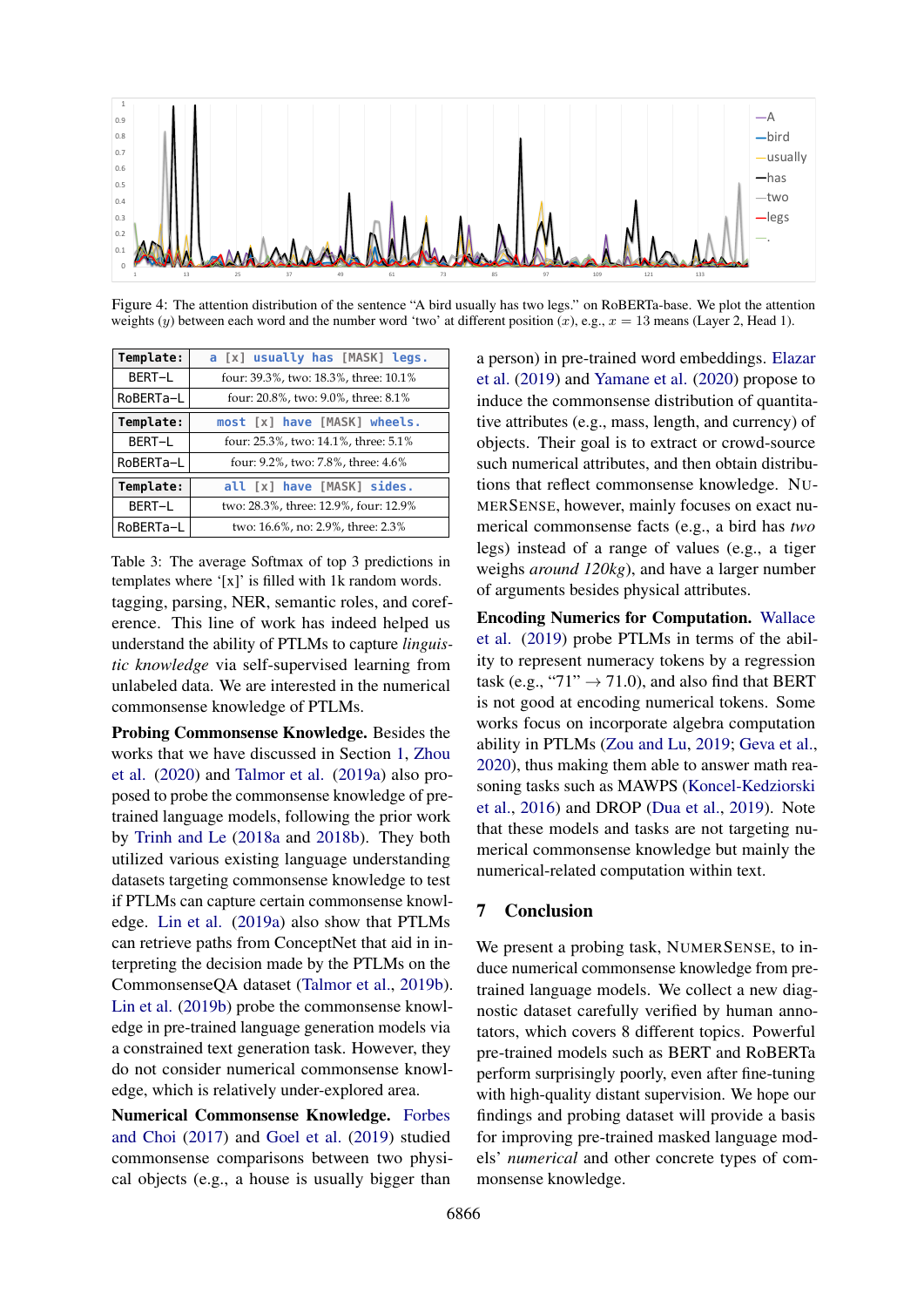<span id="page-4-1"></span>

Figure 4: The attention distribution of the sentence "A bird usually has two legs." on RoBERTa-base. We plot the attention weights (y) between each word and the number word 'two' at different position  $(x)$ , e.g.,  $x = 13$  means (Layer 2, Head 1).

<span id="page-4-0"></span>

| Template:     | a [x] usually has [MASK] legs.        |  |  |  |
|---------------|---------------------------------------|--|--|--|
| <b>BERT-L</b> | four: 39.3%, two: 18.3%, three: 10.1% |  |  |  |
| RoBERTa-L     | four: 20.8%, two: 9.0%, three: 8.1%   |  |  |  |
| Template:     | most [x] have [MASK] wheels.          |  |  |  |
| <b>BERT-L</b> | four: 25.3%, two: 14.1%, three: 5.1%  |  |  |  |
| RoBERTa-L     | four: 9.2%, two: 7.8%, three: 4.6%    |  |  |  |
| Template:     | all [x] have [MASK] sides.            |  |  |  |
| BERT-L        | two: 28.3%, three: 12.9%, four: 12.9% |  |  |  |
| RoBERTa-L     | two: 16.6%, no: 2.9%, three: 2.3%     |  |  |  |

Table 3: The average Softmax of top 3 predictions in templates where '[x]' is filled with 1k random words. tagging, parsing, NER, semantic roles, and coreference. This line of work has indeed helped us understand the ability of PTLMs to capture *linguistic knowledge* via self-supervised learning from unlabeled data. We are interested in the numerical commonsense knowledge of PTLMs.

Probing Commonsense Knowledge. Besides the works that we have discussed in Section [1,](#page-0-2) [Zhou](#page-6-7) [et al.](#page-6-7) [\(2020\)](#page-6-7) and [Talmor et al.](#page-6-8) [\(2019a\)](#page-6-8) also proposed to probe the commonsense knowledge of pretrained language models, following the prior work by [Trinh and Le](#page-6-9) [\(2018a](#page-6-10) and [2018b\)](#page-6-9). They both utilized various existing language understanding datasets targeting commonsense knowledge to test if PTLMs can capture certain commonsense knowledge. [Lin et al.](#page-5-7) [\(2019a\)](#page-5-7) also show that PTLMs can retrieve paths from ConceptNet that aid in interpreting the decision made by the PTLMs on the CommonsenseQA dataset [\(Talmor et al.,](#page-6-11) [2019b\)](#page-6-11). [Lin et al.](#page-6-12) [\(2019b\)](#page-6-12) probe the commonsense knowledge in pre-trained language generation models via a constrained text generation task. However, they do not consider numerical commonsense knowledge, which is relatively under-explored area.

Numerical Commonsense Knowledge. [Forbes](#page-5-8) [and Choi](#page-5-8) [\(2017\)](#page-5-8) and [Goel et al.](#page-5-9) [\(2019\)](#page-5-9) studied commonsense comparisons between two physical objects (e.g., a house is usually bigger than

a person) in pre-trained word embeddings. [Elazar](#page-5-10) [et al.](#page-5-10) [\(2019\)](#page-5-10) and [Yamane et al.](#page-6-13) [\(2020\)](#page-6-13) propose to induce the commonsense distribution of quantitative attributes (e.g., mass, length, and currency) of objects. Their goal is to extract or crowd-source such numerical attributes, and then obtain distributions that reflect commonsense knowledge. NU-MERSENSE, however, mainly focuses on exact numerical commonsense facts (e.g., a bird has *two* legs) instead of a range of values (e.g., a tiger weighs *around 120kg*), and have a larger number of arguments besides physical attributes.

Encoding Numerics for Computation. [Wallace](#page-6-14) [et al.](#page-6-14) [\(2019\)](#page-6-14) probe PTLMs in terms of the ability to represent numeracy tokens by a regression task (e.g., "71"  $\rightarrow$  71.0), and also find that BERT is not good at encoding numerical tokens. Some works focus on incorporate algebra computation ability in PTLMs [\(Zou and Lu,](#page-6-15) [2019;](#page-6-15) [Geva et al.,](#page-5-11) [2020\)](#page-5-11), thus making them able to answer math reasoning tasks such as MAWPS [\(Koncel-Kedziorski](#page-5-12) [et al.,](#page-5-12) [2016\)](#page-5-12) and DROP [\(Dua et al.,](#page-5-13) [2019\)](#page-5-13). Note that these models and tasks are not targeting numerical commonsense knowledge but mainly the numerical-related computation within text.

## 7 Conclusion

We present a probing task, NUMERSENSE, to induce numerical commonsense knowledge from pretrained language models. We collect a new diagnostic dataset carefully verified by human annotators, which covers 8 different topics. Powerful pre-trained models such as BERT and RoBERTa perform surprisingly poorly, even after fine-tuning with high-quality distant supervision. We hope our findings and probing dataset will provide a basis for improving pre-trained masked language models' *numerical* and other concrete types of commonsense knowledge.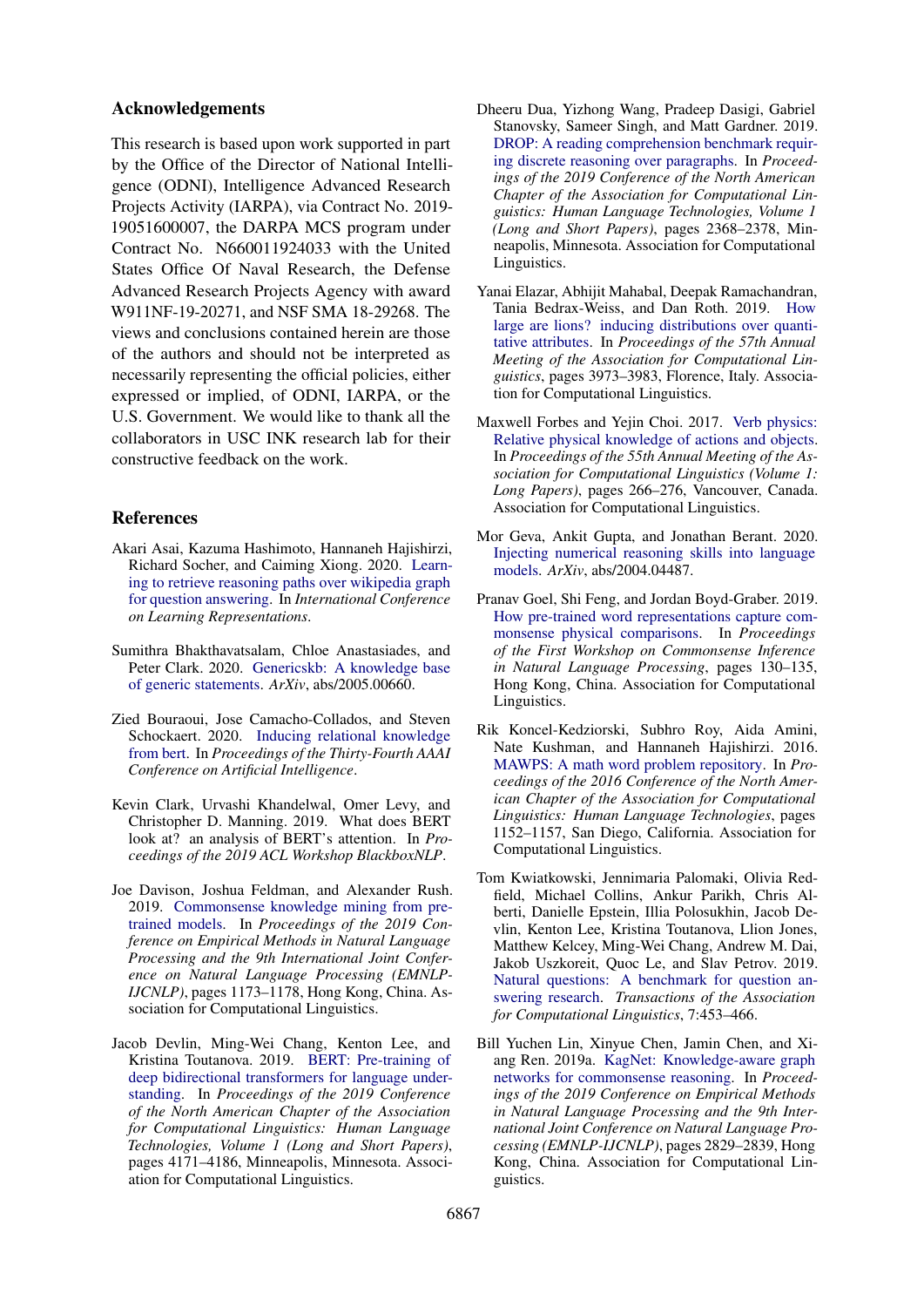## Acknowledgements

This research is based upon work supported in part by the Office of the Director of National Intelligence (ODNI), Intelligence Advanced Research Projects Activity (IARPA), via Contract No. 2019- 19051600007, the DARPA MCS program under Contract No. N660011924033 with the United States Office Of Naval Research, the Defense Advanced Research Projects Agency with award W911NF-19-20271, and NSF SMA 18-29268. The views and conclusions contained herein are those of the authors and should not be interpreted as necessarily representing the official policies, either expressed or implied, of ODNI, IARPA, or the U.S. Government. We would like to thank all the collaborators in USC INK research lab for their constructive feedback on the work.

## References

- <span id="page-5-5"></span>Akari Asai, Kazuma Hashimoto, Hannaneh Hajishirzi, Richard Socher, and Caiming Xiong. 2020. [Learn](https://openreview.net/forum?id=SJgVHkrYDH)[ing to retrieve reasoning paths over wikipedia graph](https://openreview.net/forum?id=SJgVHkrYDH) [for question answering.](https://openreview.net/forum?id=SJgVHkrYDH) In *International Conference on Learning Representations*.
- <span id="page-5-3"></span>Sumithra Bhakthavatsalam, Chloe Anastasiades, and Peter Clark. 2020. [Genericskb: A knowledge base](https://arxiv.org/abs/2005.00660) [of generic statements.](https://arxiv.org/abs/2005.00660) *ArXiv*, abs/2005.00660.
- <span id="page-5-2"></span>Zied Bouraoui, Jose Camacho-Collados, and Steven Schockaert. 2020. [Inducing relational knowledge](https://www.aaai.org/Papers/AAAI/2020GB/AAAI-BouraouiZ.5537.pdf) [from bert.](https://www.aaai.org/Papers/AAAI/2020GB/AAAI-BouraouiZ.5537.pdf) In *Proceedings of the Thirty-Fourth AAAI Conference on Artificial Intelligence*.
- <span id="page-5-4"></span>Kevin Clark, Urvashi Khandelwal, Omer Levy, and Christopher D. Manning. 2019. What does BERT look at? an analysis of BERT's attention. In *Proceedings of the 2019 ACL Workshop BlackboxNLP*.
- <span id="page-5-1"></span>Joe Davison, Joshua Feldman, and Alexander Rush. 2019. [Commonsense knowledge mining from pre](https://doi.org/10.18653/v1/D19-1109)[trained models.](https://doi.org/10.18653/v1/D19-1109) In *Proceedings of the 2019 Conference on Empirical Methods in Natural Language Processing and the 9th International Joint Conference on Natural Language Processing (EMNLP-IJCNLP)*, pages 1173–1178, Hong Kong, China. Association for Computational Linguistics.
- <span id="page-5-0"></span>Jacob Devlin, Ming-Wei Chang, Kenton Lee, and Kristina Toutanova. 2019. [BERT: Pre-training of](https://doi.org/10.18653/v1/N19-1423) [deep bidirectional transformers for language under](https://doi.org/10.18653/v1/N19-1423)[standing.](https://doi.org/10.18653/v1/N19-1423) In *Proceedings of the 2019 Conference of the North American Chapter of the Association for Computational Linguistics: Human Language Technologies, Volume 1 (Long and Short Papers)*, pages 4171–4186, Minneapolis, Minnesota. Association for Computational Linguistics.
- <span id="page-5-13"></span>Dheeru Dua, Yizhong Wang, Pradeep Dasigi, Gabriel Stanovsky, Sameer Singh, and Matt Gardner. 2019. [DROP: A reading comprehension benchmark requir](https://doi.org/10.18653/v1/N19-1246)[ing discrete reasoning over paragraphs.](https://doi.org/10.18653/v1/N19-1246) In *Proceedings of the 2019 Conference of the North American Chapter of the Association for Computational Linguistics: Human Language Technologies, Volume 1 (Long and Short Papers)*, pages 2368–2378, Minneapolis, Minnesota. Association for Computational Linguistics.
- <span id="page-5-10"></span>Yanai Elazar, Abhijit Mahabal, Deepak Ramachandran, Tania Bedrax-Weiss, and Dan Roth. 2019. [How](https://doi.org/10.18653/v1/P19-1388) [large are lions? inducing distributions over quanti](https://doi.org/10.18653/v1/P19-1388)[tative attributes.](https://doi.org/10.18653/v1/P19-1388) In *Proceedings of the 57th Annual Meeting of the Association for Computational Linguistics*, pages 3973–3983, Florence, Italy. Association for Computational Linguistics.
- <span id="page-5-8"></span>Maxwell Forbes and Yejin Choi. 2017. [Verb physics:](https://doi.org/10.18653/v1/P17-1025) [Relative physical knowledge of actions and objects.](https://doi.org/10.18653/v1/P17-1025) In *Proceedings of the 55th Annual Meeting of the Association for Computational Linguistics (Volume 1: Long Papers)*, pages 266–276, Vancouver, Canada. Association for Computational Linguistics.
- <span id="page-5-11"></span>Mor Geva, Ankit Gupta, and Jonathan Berant. 2020. [Injecting numerical reasoning skills into language](https://arxiv.org/abs/2004.04487) [models.](https://arxiv.org/abs/2004.04487) *ArXiv*, abs/2004.04487.
- <span id="page-5-9"></span>Pranav Goel, Shi Feng, and Jordan Boyd-Graber. 2019. [How pre-trained word representations capture com](https://doi.org/10.18653/v1/D19-6016)[monsense physical comparisons.](https://doi.org/10.18653/v1/D19-6016) In *Proceedings of the First Workshop on Commonsense Inference in Natural Language Processing*, pages 130–135, Hong Kong, China. Association for Computational Linguistics.
- <span id="page-5-12"></span>Rik Koncel-Kedziorski, Subhro Roy, Aida Amini, Nate Kushman, and Hannaneh Hajishirzi. 2016. [MAWPS: A math word problem repository.](https://doi.org/10.18653/v1/N16-1136) In *Proceedings of the 2016 Conference of the North American Chapter of the Association for Computational Linguistics: Human Language Technologies*, pages 1152–1157, San Diego, California. Association for Computational Linguistics.
- <span id="page-5-6"></span>Tom Kwiatkowski, Jennimaria Palomaki, Olivia Redfield, Michael Collins, Ankur Parikh, Chris Alberti, Danielle Epstein, Illia Polosukhin, Jacob Devlin, Kenton Lee, Kristina Toutanova, Llion Jones, Matthew Kelcey, Ming-Wei Chang, Andrew M. Dai, Jakob Uszkoreit, Quoc Le, and Slav Petrov. 2019. [Natural questions: A benchmark for question an](https://doi.org/10.1162/tacl_a_00276)[swering research.](https://doi.org/10.1162/tacl_a_00276) *Transactions of the Association for Computational Linguistics*, 7:453–466.
- <span id="page-5-7"></span>Bill Yuchen Lin, Xinyue Chen, Jamin Chen, and Xiang Ren. 2019a. [KagNet: Knowledge-aware graph](https://doi.org/10.18653/v1/D19-1282) [networks for commonsense reasoning.](https://doi.org/10.18653/v1/D19-1282) In *Proceedings of the 2019 Conference on Empirical Methods in Natural Language Processing and the 9th International Joint Conference on Natural Language Processing (EMNLP-IJCNLP)*, pages 2829–2839, Hong Kong, China. Association for Computational Linguistics.